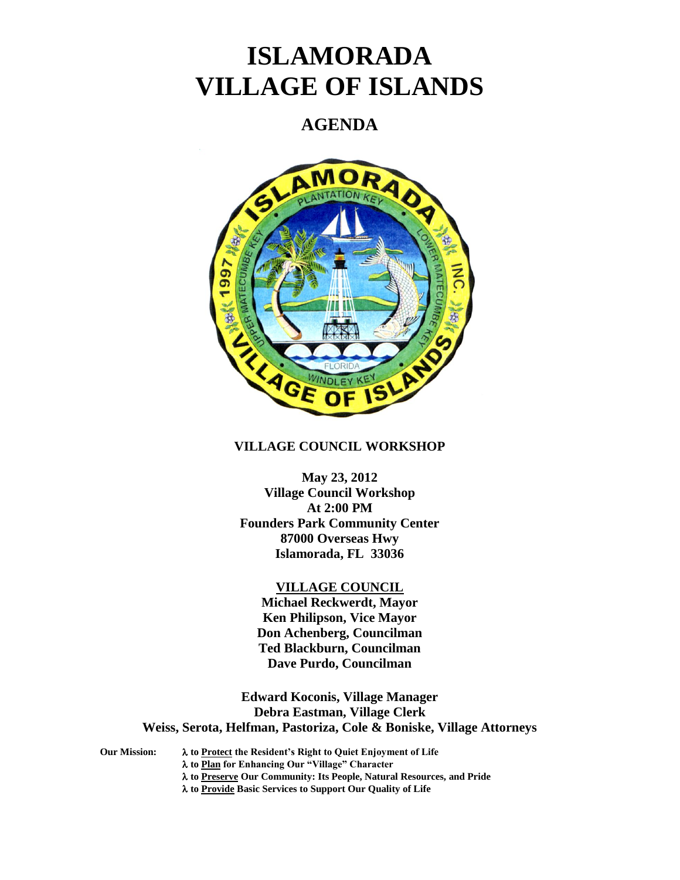# **ISLAMORADA VILLAGE OF ISLANDS**

# **AGENDA**



# **VILLAGE COUNCIL WORKSHOP**

**May 23, 2012 Village Council Workshop At 2:00 PM Founders Park Community Center 87000 Overseas Hwy Islamorada, FL 33036**

#### **VILLAGE COUNCIL**

**Michael Reckwerdt, Mayor Ken Philipson, Vice Mayor Don Achenberg, Councilman Ted Blackburn, Councilman Dave Purdo, Councilman**

**Edward Koconis, Village Manager Debra Eastman, Village Clerk Weiss, Serota, Helfman, Pastoriza, Cole & Boniske, Village Attorneys**

**Our Mission: to Protect the Resident's Right to Quiet Enjoyment of Life to Plan for Enhancing Our "Village" Character to Preserve Our Community: Its People, Natural Resources, and Pride to Provide Basic Services to Support Our Quality of Life**